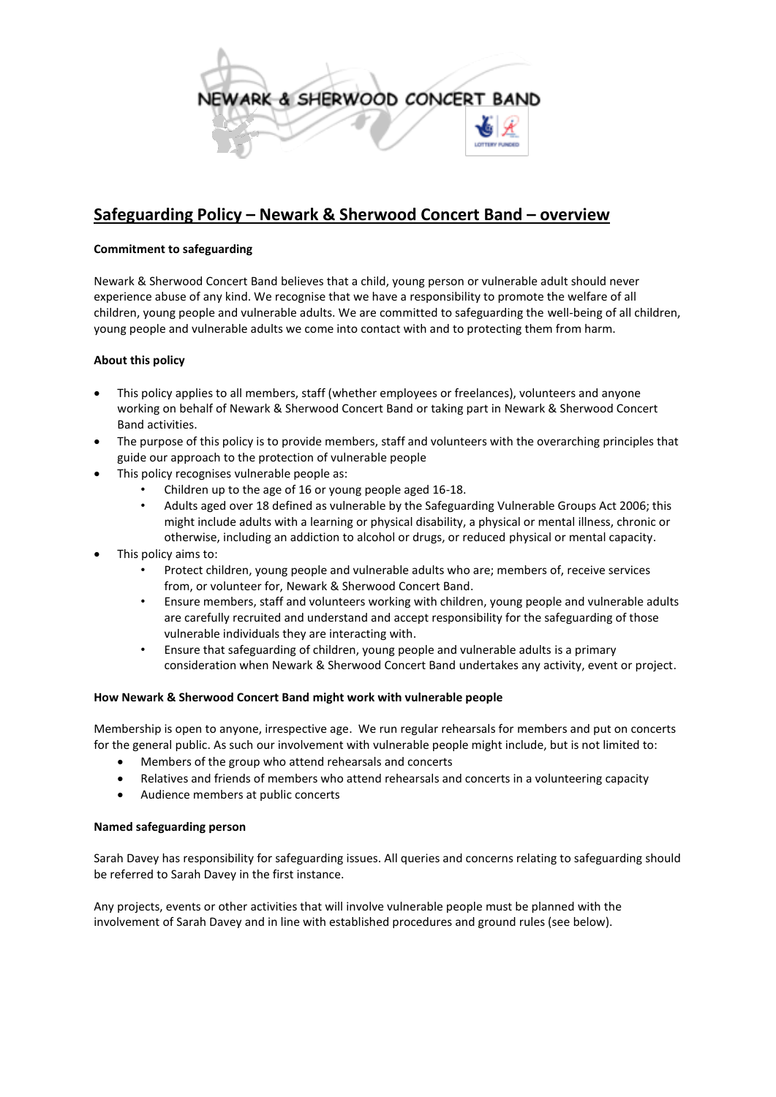

# **Safeguarding Policy – Newark & Sherwood Concert Band – overview**

## **Commitment to safeguarding**

Newark & Sherwood Concert Band believes that a child, young person or vulnerable adult should never experience abuse of any kind. We recognise that we have a responsibility to promote the welfare of all children, young people and vulnerable adults. We are committed to safeguarding the well-being of all children, young people and vulnerable adults we come into contact with and to protecting them from harm.

# **About this policy**

- This policy applies to all members, staff (whether employees or freelances), volunteers and anyone working on behalf of Newark & Sherwood Concert Band or taking part in Newark & Sherwood Concert Band activities.
- The purpose of this policy is to provide members, staff and volunteers with the overarching principles that guide our approach to the protection of vulnerable people
- This policy recognises vulnerable people as:
	- Children up to the age of 16 or young people aged 16-18.
	- Adults aged over 18 defined as vulnerable by the Safeguarding Vulnerable Groups Act 2006; this might include adults with a learning or physical disability, a physical or mental illness, chronic or otherwise, including an addiction to alcohol or drugs, or reduced physical or mental capacity.
- This policy aims to:
	- Protect children, young people and vulnerable adults who are; members of, receive services from, or volunteer for, Newark & Sherwood Concert Band.
	- Ensure members, staff and volunteers working with children, young people and vulnerable adults are carefully recruited and understand and accept responsibility for the safeguarding of those vulnerable individuals they are interacting with.
	- Ensure that safeguarding of children, young people and vulnerable adults is a primary consideration when Newark & Sherwood Concert Band undertakes any activity, event or project.

#### **How Newark & Sherwood Concert Band might work with vulnerable people**

Membership is open to anyone, irrespective age. We run regular rehearsals for members and put on concerts for the general public. As such our involvement with vulnerable people might include, but is not limited to:

- Members of the group who attend rehearsals and concerts
- Relatives and friends of members who attend rehearsals and concerts in a volunteering capacity
- Audience members at public concerts

#### **Named safeguarding person**

Sarah Davey has responsibility for safeguarding issues. All queries and concerns relating to safeguarding should be referred to Sarah Davey in the first instance.

Any projects, events or other activities that will involve vulnerable people must be planned with the involvement of Sarah Davey and in line with established procedures and ground rules (see below).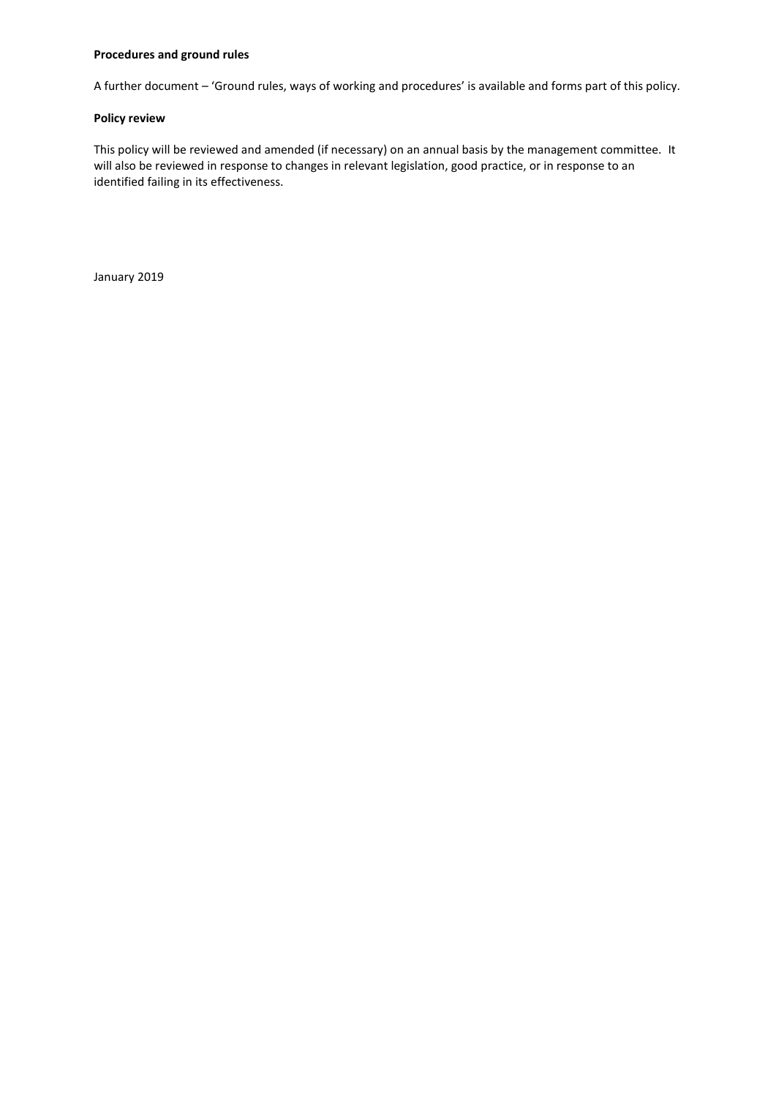#### **Procedures and ground rules**

A further document – 'Ground rules, ways of working and procedures' is available and forms part of this policy.

#### **Policy review**

This policy will be reviewed and amended (if necessary) on an annual basis by the management committee. It will also be reviewed in response to changes in relevant legislation, good practice, or in response to an identified failing in its effectiveness.

January 2019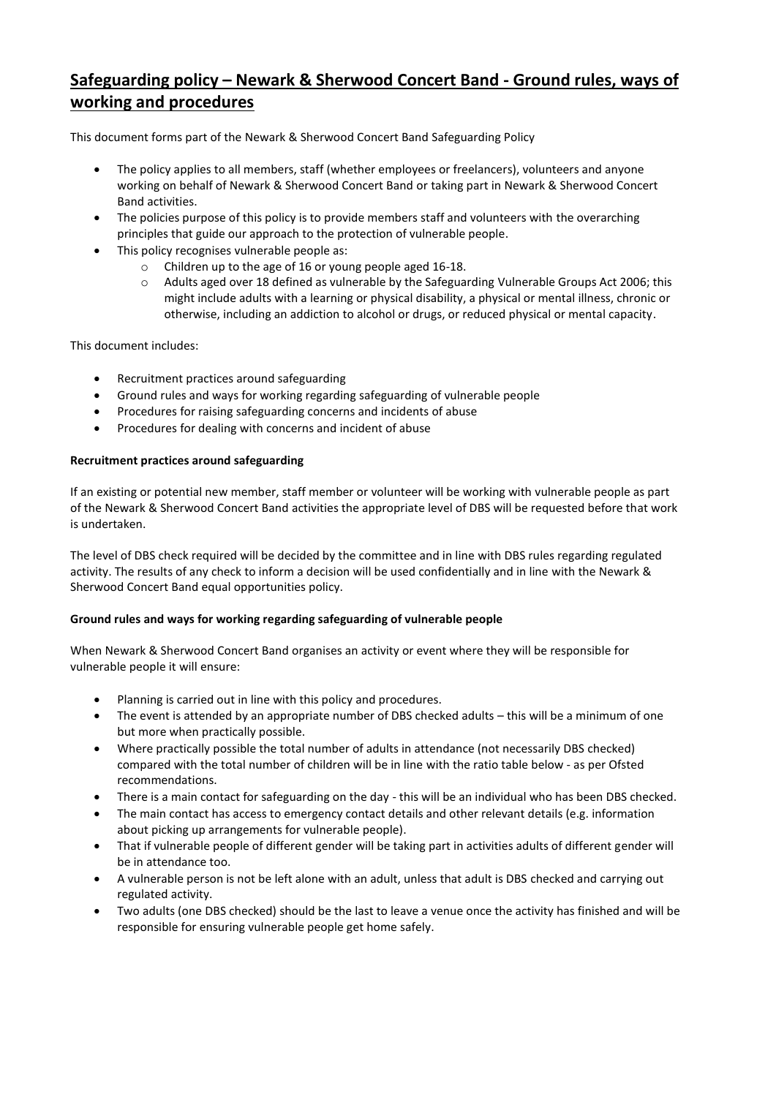# **Safeguarding policy – Newark & Sherwood Concert Band - Ground rules, ways of working and procedures**

This document forms part of the Newark & Sherwood Concert Band Safeguarding Policy

- The policy applies to all members, staff (whether employees or freelancers), volunteers and anyone working on behalf of Newark & Sherwood Concert Band or taking part in Newark & Sherwood Concert Band activities.
- The policies purpose of this policy is to provide members staff and volunteers with the overarching principles that guide our approach to the protection of vulnerable people.
- This policy recognises vulnerable people as:
	- o Children up to the age of 16 or young people aged 16-18.
	- o Adults aged over 18 defined as vulnerable by the Safeguarding Vulnerable Groups Act 2006; this might include adults with a learning or physical disability, a physical or mental illness, chronic or otherwise, including an addiction to alcohol or drugs, or reduced physical or mental capacity.

This document includes:

- Recruitment practices around safeguarding
- Ground rules and ways for working regarding safeguarding of vulnerable people
- Procedures for raising safeguarding concerns and incidents of abuse
- Procedures for dealing with concerns and incident of abuse

#### **Recruitment practices around safeguarding**

If an existing or potential new member, staff member or volunteer will be working with vulnerable people as part of the Newark & Sherwood Concert Band activities the appropriate level of DBS will be requested before that work is undertaken.

The level of DBS check required will be decided by the committee and in line with DBS rules regarding regulated activity. The results of any check to inform a decision will be used confidentially and in line with the Newark & Sherwood Concert Band equal opportunities policy.

#### **Ground rules and ways for working regarding safeguarding of vulnerable people**

When Newark & Sherwood Concert Band organises an activity or event where they will be responsible for vulnerable people it will ensure:

- Planning is carried out in line with this policy and procedures.
- The event is attended by an appropriate number of DBS checked adults this will be a minimum of one but more when practically possible.
- Where practically possible the total number of adults in attendance (not necessarily DBS checked) compared with the total number of children will be in line with the ratio table below - as per Ofsted recommendations.
- There is a main contact for safeguarding on the day this will be an individual who has been DBS checked.
- The main contact has access to emergency contact details and other relevant details (e.g. information about picking up arrangements for vulnerable people).
- That if vulnerable people of different gender will be taking part in activities adults of different gender will be in attendance too.
- A vulnerable person is not be left alone with an adult, unless that adult is DBS checked and carrying out regulated activity.
- Two adults (one DBS checked) should be the last to leave a venue once the activity has finished and will be responsible for ensuring vulnerable people get home safely.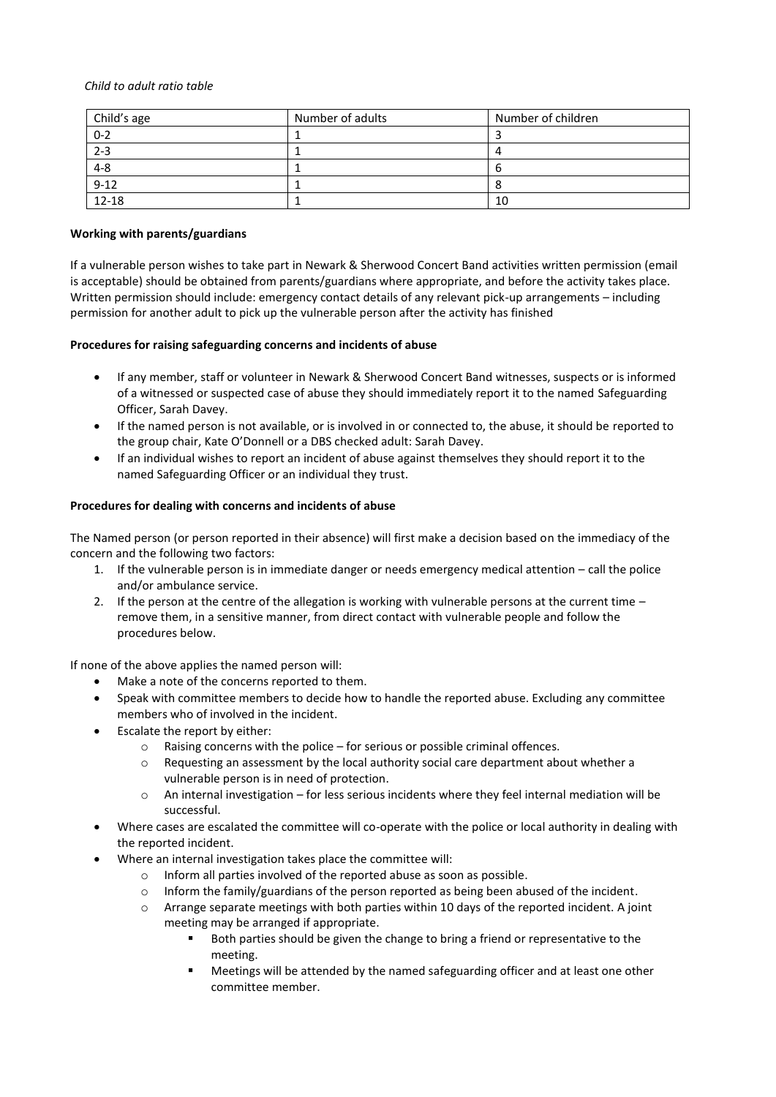#### *Child to adult ratio table*

| Child's age | Number of adults | Number of children |
|-------------|------------------|--------------------|
| $0 - 2$     |                  |                    |
| $2 - 3$     |                  |                    |
| $4 - 8$     |                  |                    |
| $9 - 12$    |                  |                    |
| $12 - 18$   |                  | 10                 |

## **Working with parents/guardians**

If a vulnerable person wishes to take part in Newark & Sherwood Concert Band activities written permission (email is acceptable) should be obtained from parents/guardians where appropriate, and before the activity takes place. Written permission should include: emergency contact details of any relevant pick-up arrangements – including permission for another adult to pick up the vulnerable person after the activity has finished

# **Procedures for raising safeguarding concerns and incidents of abuse**

- If any member, staff or volunteer in Newark & Sherwood Concert Band witnesses, suspects or is informed of a witnessed or suspected case of abuse they should immediately report it to the named Safeguarding Officer, Sarah Davey.
- If the named person is not available, or is involved in or connected to, the abuse, it should be reported to the group chair, Kate O'Donnell or a DBS checked adult: Sarah Davey.
- If an individual wishes to report an incident of abuse against themselves they should report it to the named Safeguarding Officer or an individual they trust.

# **Procedures for dealing with concerns and incidents of abuse**

The Named person (or person reported in their absence) will first make a decision based on the immediacy of the concern and the following two factors:

- 1. If the vulnerable person is in immediate danger or needs emergency medical attention call the police and/or ambulance service.
- 2. If the person at the centre of the allegation is working with vulnerable persons at the current time remove them, in a sensitive manner, from direct contact with vulnerable people and follow the procedures below.

If none of the above applies the named person will:

- Make a note of the concerns reported to them.
- Speak with committee members to decide how to handle the reported abuse. Excluding any committee members who of involved in the incident.
- Escalate the report by either:
	- o Raising concerns with the police for serious or possible criminal offences.
	- o Requesting an assessment by the local authority social care department about whether a vulnerable person is in need of protection.
	- $\circ$  An internal investigation for less serious incidents where they feel internal mediation will be successful.
- Where cases are escalated the committee will co-operate with the police or local authority in dealing with the reported incident.
	- Where an internal investigation takes place the committee will:
		- o Inform all parties involved of the reported abuse as soon as possible.
		- o Inform the family/guardians of the person reported as being been abused of the incident.
		- o Arrange separate meetings with both parties within 10 days of the reported incident. A joint meeting may be arranged if appropriate.
			- Both parties should be given the change to bring a friend or representative to the meeting.
			- Meetings will be attended by the named safeguarding officer and at least one other committee member.